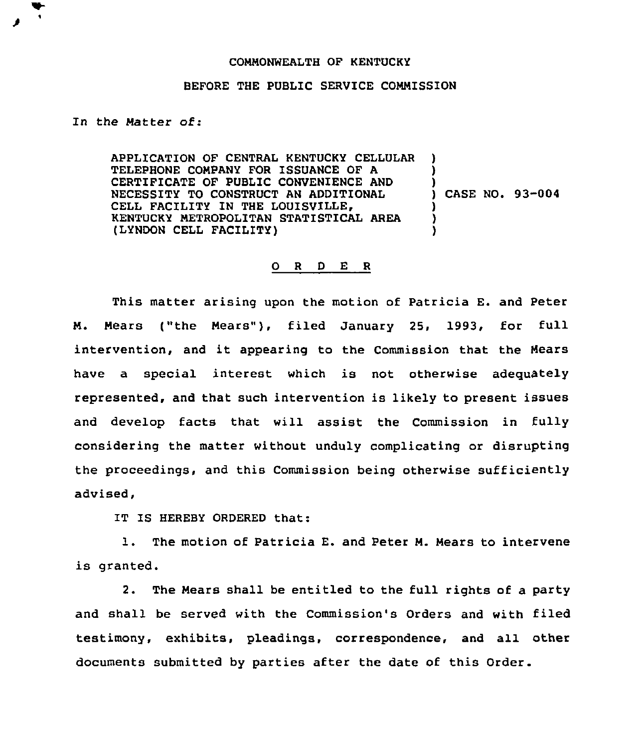## COMMONWEALTH OF KENTUCKY

## BEFORE THE PUBLIC SERVICE COMMISSION

In the Matter of:

APPLICATION OF CENTRAL KENTUCKY CELLULAR TELEPHONE COMPANY FOR ISSUANCE OF A CERTIFICATE OF PUBLIC CONVENIENCE AND NECESSITY TO CONSTRUCT AN ADDITIONAL CELL FACILITY IN THE LOUISVILLE, KENTUCKY METROPOLITAN STATISTICAL AREA (LYNDON CELL FACILITY) ) ) ) ) CASE NO. 93-004 ) ) )

## 0 <sup>R</sup> <sup>D</sup> E <sup>R</sup>

This matter arising upon the motion of Patricia E. and Peter M. Mears ("the Mears"), filed January 25, 1993, for full intervention, and it appearing to the Commission that the Hears have a special interest which is not otherwise adequately represented, and that such intervention is likely to present issues and develop facts that will assist the Commission in fully considering the matter without unduly complicating or disrupting the proceedings, and this Commission being otherwise sufficiently advised,

IT IS HEREBY ORDERED that:

1. The motion of patricia E. and peter M. Mears to intervene is granted.

2. The Meara shall be entitled to the full rights of a party and shall be served with the Commission's Orders and with filed testimony, exhibits, pleadings, correspondence, and all other documents submitted by parties after the date of this Order.